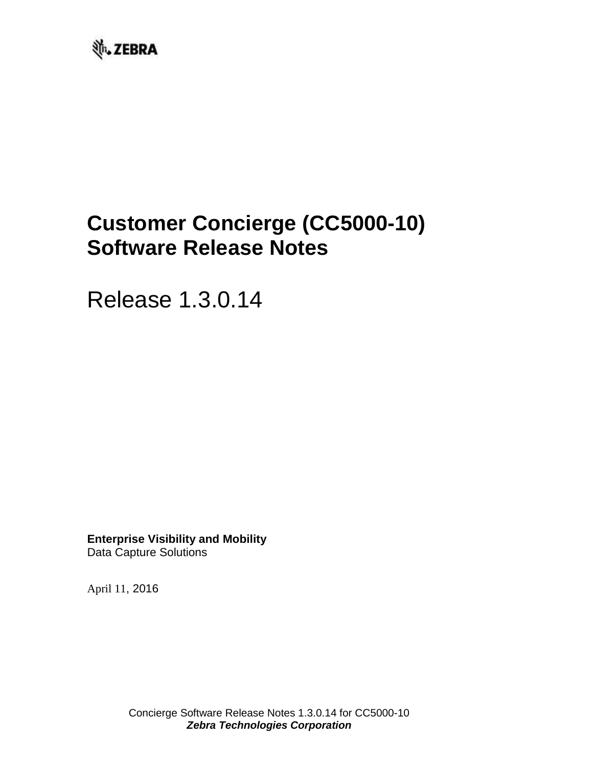

# **Customer Concierge (CC5000-10) Software Release Notes**

Release 1.3.0.14

**Enterprise Visibility and Mobility** Data Capture Solutions

April 11, 2016

Concierge Software Release Notes 1.3.0.14 for CC5000-10 *Zebra Technologies Corporation*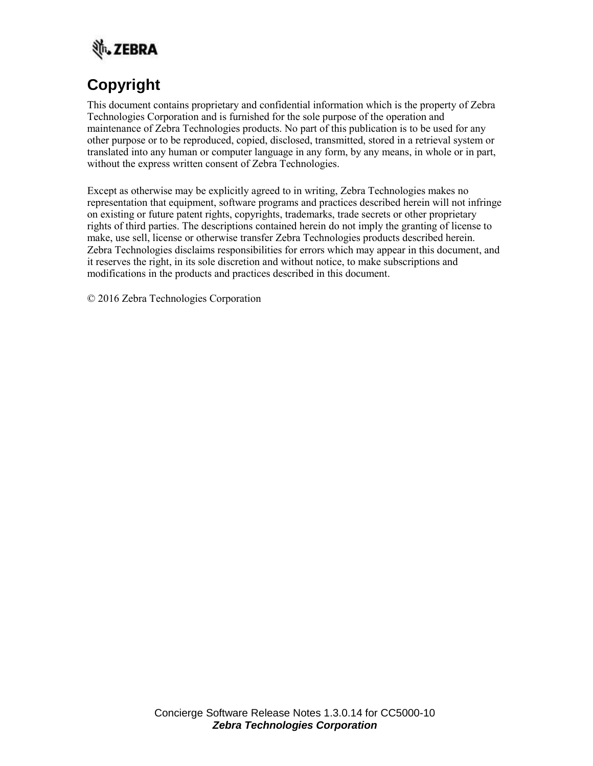

# **Copyright**

This document contains proprietary and confidential information which is the property of Zebra Technologies Corporation and is furnished for the sole purpose of the operation and maintenance of Zebra Technologies products. No part of this publication is to be used for any other purpose or to be reproduced, copied, disclosed, transmitted, stored in a retrieval system or translated into any human or computer language in any form, by any means, in whole or in part, without the express written consent of Zebra Technologies.

Except as otherwise may be explicitly agreed to in writing, Zebra Technologies makes no representation that equipment, software programs and practices described herein will not infringe on existing or future patent rights, copyrights, trademarks, trade secrets or other proprietary rights of third parties. The descriptions contained herein do not imply the granting of license to make, use sell, license or otherwise transfer Zebra Technologies products described herein. Zebra Technologies disclaims responsibilities for errors which may appear in this document, and it reserves the right, in its sole discretion and without notice, to make subscriptions and modifications in the products and practices described in this document.

© 2016 Zebra Technologies Corporation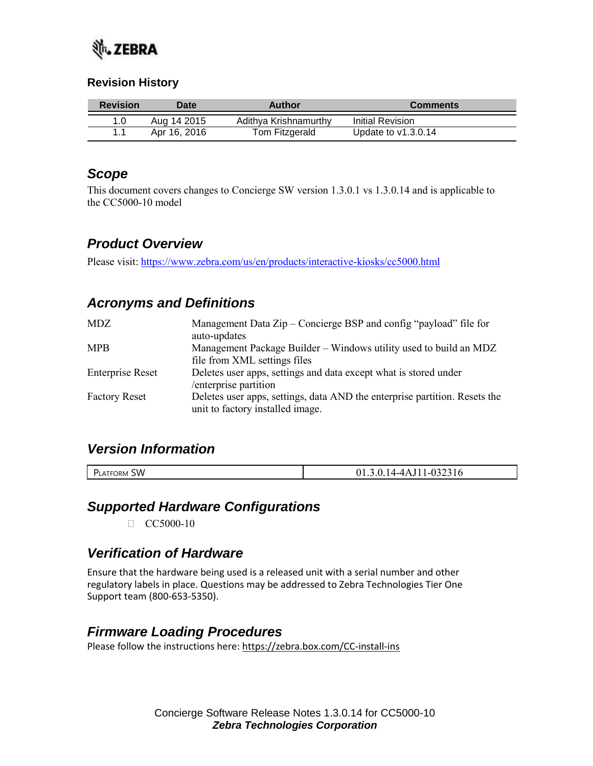

#### **Revision History**

| <b>Revision</b> | <b>Date</b>  | Author                | <b>Comments</b>       |
|-----------------|--------------|-----------------------|-----------------------|
|                 | Aug 14 2015  | Adithya Krishnamurthy | Initial Revision      |
|                 | Apr 16, 2016 | Tom Fitzgerald        | Update to $v1.3.0.14$ |

#### *Scope*

This document covers changes to Concierge SW version 1.3.0.1 vs 1.3.0.14 and is applicable to the CC5000-10 model

# *Product Overview*

Please visit:<https://www.zebra.com/us/en/products/interactive-kiosks/cc5000.html>

# *Acronyms and Definitions*

| <b>MDZ</b>              | Management Data Zip – Concierge BSP and config "payload" file for<br>auto-updates                              |
|-------------------------|----------------------------------------------------------------------------------------------------------------|
| <b>MPB</b>              | Management Package Builder – Windows utility used to build an MDZ<br>file from XML settings files              |
| <b>Enterprise Reset</b> | Deletes user apps, settings and data except what is stored under<br>/enterprise partition                      |
| <b>Factory Reset</b>    | Deletes user apps, settings, data AND the enterprise partition. Resets the<br>unit to factory installed image. |

#### *Version Information*

| <b>SW</b><br><b>\TFORM</b><br>י ש<br>. LATF <sup>r</sup> | -- -<br>--<br>$-10$<br><u>JI.J</u><br>$1 \times J$<br>. . v<br>. .<br>. . |
|----------------------------------------------------------|---------------------------------------------------------------------------|

#### *Supported Hardware Configurations*

 $\Box$  CC5000-10

#### *Verification of Hardware*

Ensure that the hardware being used is a released unit with a serial number and other regulatory labels in place. Questions may be addressed to Zebra Technologies Tier One Support team (800-653-5350).

# *Firmware Loading Procedures*

Please follow the instructions here:<https://zebra.box.com/CC-install-ins>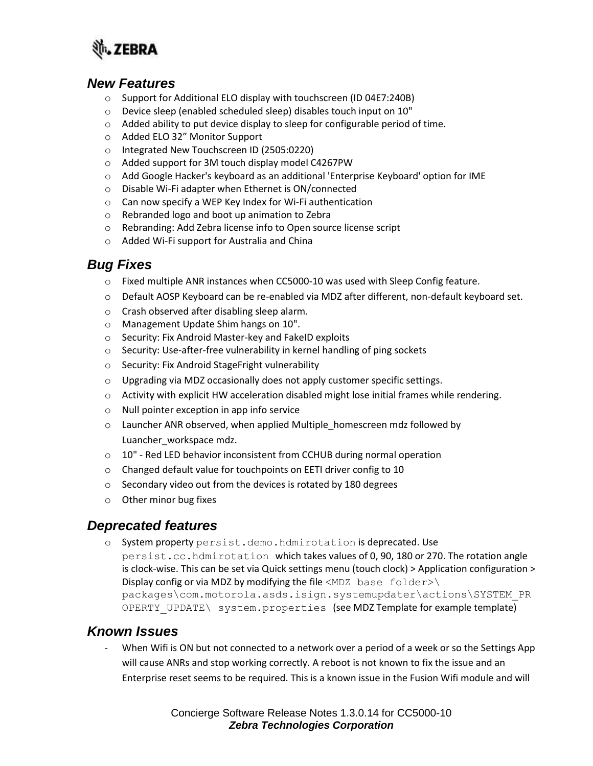

#### *New Features*

- o Support for Additional ELO display with touchscreen (ID 04E7:240B)
- o Device sleep (enabled scheduled sleep) disables touch input on 10"
- $\circ$  Added ability to put device display to sleep for configurable period of time.
- o Added ELO 32" Monitor Support
- o Integrated New Touchscreen ID (2505:0220)
- o Added support for 3M touch display model C4267PW
- o Add Google Hacker's keyboard as an additional 'Enterprise Keyboard' option for IME
- o Disable Wi-Fi adapter when Ethernet is ON/connected
- o Can now specify a WEP Key Index for Wi-Fi authentication
- o Rebranded logo and boot up animation to Zebra
- o Rebranding: Add Zebra license info to Open source license script
- o Added Wi-Fi support for Australia and China

# *Bug Fixes*

- o Fixed multiple ANR instances when CC5000-10 was used with Sleep Config feature.
- o Default AOSP Keyboard can be re-enabled via MDZ after different, non-default keyboard set.
- o Crash observed after disabling sleep alarm.
- o Management Update Shim hangs on 10".
- o Security: Fix Android Master-key and FakeID exploits
- o Security: Use-after-free vulnerability in kernel handling of ping sockets
- o Security: Fix Android StageFright vulnerability
- o Upgrading via MDZ occasionally does not apply customer specific settings.
- $\circ$  Activity with explicit HW acceleration disabled might lose initial frames while rendering.
- o Null pointer exception in app info service
- o Launcher ANR observed, when applied Multiple\_homescreen mdz followed by Luancher\_workspace mdz.
- o 10" Red LED behavior inconsistent from CCHUB during normal operation
- o Changed default value for touchpoints on EETI driver config to 10
- o Secondary video out from the devices is rotated by 180 degrees
- o Other minor bug fixes

#### *Deprecated features*

o System property persist.demo.hdmirotation is deprecated. Use persist.cc.hdmirotation which takes values of 0, 90, 180 or 270. The rotation angle is clock-wise. This can be set via Quick settings menu (touch clock) > Application configuration > Display config or via MDZ by modifying the file  $\langle MDZ \rangle$  base folder>\ packages\com.motorola.asds.isign.systemupdater\actions\SYSTEM\_PR OPERTY UPDATE\ system.properties (see MDZ Template for example template)

# *Known Issues*

When Wifi is ON but not connected to a network over a period of a week or so the Settings App will cause ANRs and stop working correctly. A reboot is not known to fix the issue and an Enterprise reset seems to be required. This is a known issue in the Fusion Wifi module and will

> Concierge Software Release Notes 1.3.0.14 for CC5000-10 *Zebra Technologies Corporation*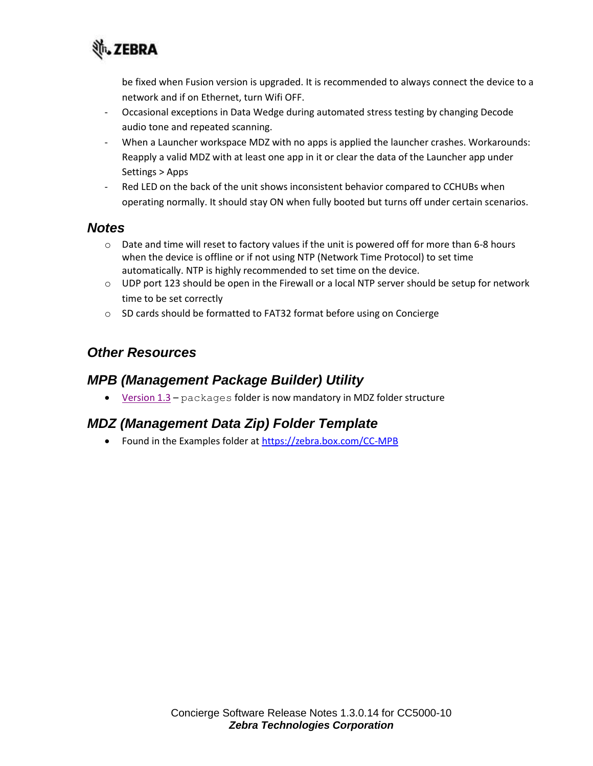

be fixed when Fusion version is upgraded. It is recommended to always connect the device to a network and if on Ethernet, turn Wifi OFF.

- Occasional exceptions in Data Wedge during automated stress testing by changing Decode audio tone and repeated scanning.
- When a Launcher workspace MDZ with no apps is applied the launcher crashes. Workarounds: Reapply a valid MDZ with at least one app in it or clear the data of the Launcher app under Settings > Apps
- Red LED on the back of the unit shows inconsistent behavior compared to CCHUBs when operating normally. It should stay ON when fully booted but turns off under certain scenarios.

#### *Notes*

- $\circ$  Date and time will reset to factory values if the unit is powered off for more than 6-8 hours when the device is offline or if not using NTP (Network Time Protocol) to set time automatically. NTP is highly recommended to set time on the device.
- $\circ$  UDP port 123 should be open in the Firewall or a local NTP server should be setup for network time to be set correctly
- o SD cards should be formatted to FAT32 format before using on Concierge

# *Other Resources*

#### *MPB (Management Package Builder) Utility*

[Version 1.3](https://zebra.box.com/CC-MPB) – packages folder is now mandatory in MDZ folder structure

# *MDZ (Management Data Zip) Folder Template*

• Found in the Examples folder at<https://zebra.box.com/CC-MPB>